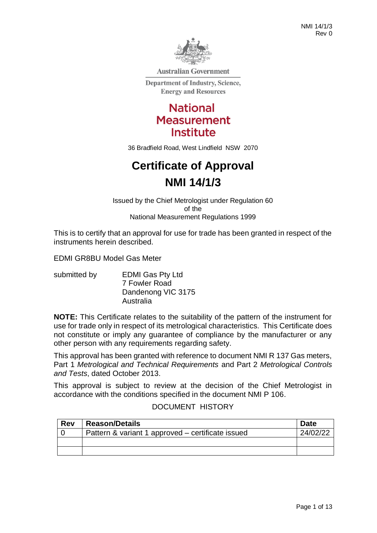

**Australian Government** 

**Department of Industry, Science, Energy and Resources** 

> **National Measurement Institute**

36 Bradfield Road, West Lindfield NSW 2070

# **Certificate of Approval NMI 14/1/3**

Issued by the Chief Metrologist under Regulation 60 of the National Measurement Regulations 1999

This is to certify that an approval for use for trade has been granted in respect of the instruments herein described.

EDMI GR8BU Model Gas Meter

submitted by **EDMI Gas Pty Ltd** 7 Fowler Road Dandenong VIC 3175 Australia

**NOTE:** This Certificate relates to the suitability of the pattern of the instrument for use for trade only in respect of its metrological characteristics. This Certificate does not constitute or imply any guarantee of compliance by the manufacturer or any other person with any requirements regarding safety.

This approval has been granted with reference to document NMI R 137 Gas meters, Part 1 *Metrological and Technical Requirements* and Part 2 *Metrological Controls and Tests*, dated October 2013.

This approval is subject to review at the decision of the Chief Metrologist in accordance with the conditions specified in the document NMI P 106.

#### DOCUMENT HISTORY

| <b>Rev</b> | <b>Reason/Details</b>                             | <b>Date</b> |
|------------|---------------------------------------------------|-------------|
|            | Pattern & variant 1 approved – certificate issued | 24/02/22    |
|            |                                                   |             |
|            |                                                   |             |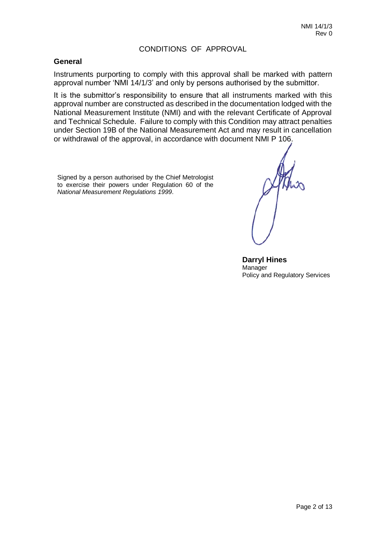### CONDITIONS OF APPROVAL

#### **General**

Instruments purporting to comply with this approval shall be marked with pattern approval number 'NMI 14/1/3' and only by persons authorised by the submittor.

It is the submittor's responsibility to ensure that all instruments marked with this approval number are constructed as described in the documentation lodged with the National Measurement Institute (NMI) and with the relevant Certificate of Approval and Technical Schedule. Failure to comply with this Condition may attract penalties under Section 19B of the National Measurement Act and may result in cancellation or withdrawal of the approval, in accordance with document NMI P 106.

Signed by a person authorised by the Chief Metrologist to exercise their powers under Regulation 60 of the *National Measurement Regulations 1999*.

**Darryl Hines** Manager Policy and Regulatory Services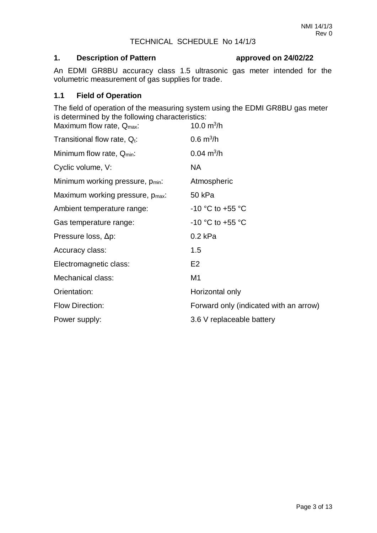# TECHNICAL SCHEDULE No 14/1/3

# **1. Description of Pattern approved on 24/02/22**

An EDMI GR8BU accuracy class 1.5 ultrasonic gas meter intended for the volumetric measurement of gas supplies for trade.

# **1.1 Field of Operation**

The field of operation of the measuring system using the EDMI GR8BU gas meter is determined by the following characteristics:

| Maximum flow rate, $Q_{\text{max}}$ :        | 10.0 $m^3/h$                           |
|----------------------------------------------|----------------------------------------|
| Transitional flow rate, $Q_t$ :              | $0.6 \text{ m}^3/h$                    |
| Minimum flow rate, Q <sub>min</sub> :        | $0.04 \text{ m}^3/h$                   |
| Cyclic volume, V:                            | NA.                                    |
| Minimum working pressure, p <sub>min</sub> : | Atmospheric                            |
| Maximum working pressure, p <sub>max</sub> : | 50 kPa                                 |
| Ambient temperature range:                   | -10 °C to +55 °C                       |
| Gas temperature range:                       | -10 °C to +55 °C                       |
| Pressure loss, Δp:                           | $0.2$ kPa                              |
| Accuracy class:                              | 1.5                                    |
| Electromagnetic class:                       | E <sub>2</sub>                         |
| Mechanical class:                            | M1                                     |
| Orientation:                                 | Horizontal only                        |
| <b>Flow Direction:</b>                       | Forward only (indicated with an arrow) |
| Power supply:                                | 3.6 V replaceable battery              |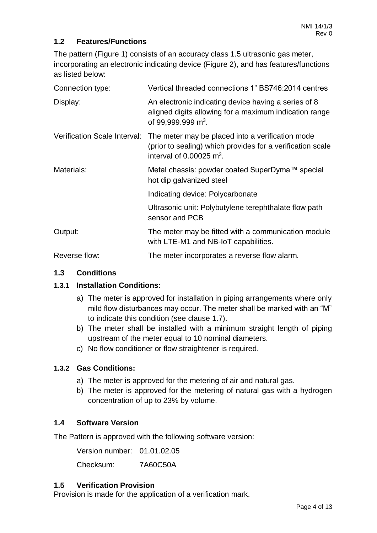# **1.2 Features/Functions**

The pattern (Figure 1) consists of an accuracy class 1.5 ultrasonic gas meter, incorporating an electronic indicating device (Figure 2), and has features/functions as listed below:

| Connection type:             | Vertical threaded connections 1" BS746:2014 centres                                                                                                      |  |  |  |
|------------------------------|----------------------------------------------------------------------------------------------------------------------------------------------------------|--|--|--|
| Display:                     | An electronic indicating device having a series of 8<br>aligned digits allowing for a maximum indication range<br>of 99,999.999 m <sup>3</sup> .         |  |  |  |
| Verification Scale Interval: | The meter may be placed into a verification mode<br>(prior to sealing) which provides for a verification scale<br>interval of $0.00025$ m <sup>3</sup> . |  |  |  |
| Materials:                   | Metal chassis: powder coated SuperDyma™ special<br>hot dip galvanized steel                                                                              |  |  |  |
|                              | Indicating device: Polycarbonate                                                                                                                         |  |  |  |
|                              | Ultrasonic unit: Polybutylene terephthalate flow path<br>sensor and PCB                                                                                  |  |  |  |
| Output:                      | The meter may be fitted with a communication module<br>with LTE-M1 and NB-IoT capabilities.                                                              |  |  |  |
| Reverse flow:                | The meter incorporates a reverse flow alarm.                                                                                                             |  |  |  |

# **1.3 Conditions**

# **1.3.1 Installation Conditions:**

- a) The meter is approved for installation in piping arrangements where only mild flow disturbances may occur. The meter shall be marked with an "M" to indicate this condition (see clause 1.7).
- b) The meter shall be installed with a minimum straight length of piping upstream of the meter equal to 10 nominal diameters.
- c) No flow conditioner or flow straightener is required.

# **1.3.2 Gas Conditions:**

- a) The meter is approved for the metering of air and natural gas.
- b) The meter is approved for the metering of natural gas with a hydrogen concentration of up to 23% by volume.

# **1.4 Software Version**

The Pattern is approved with the following software version:

Version number: 01.01.02.05

Checksum: 7A60C50A

# **1.5 Verification Provision**

Provision is made for the application of a verification mark.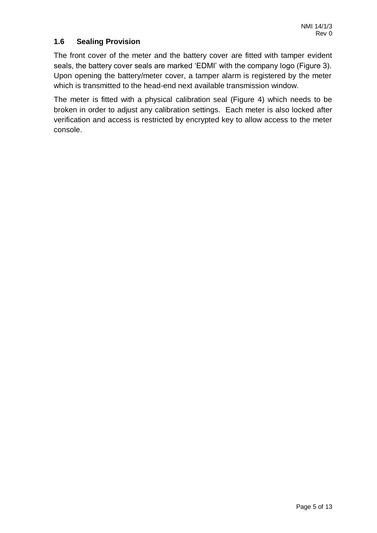# **1.6 Sealing Provision**

The front cover of the meter and the battery cover are fitted with tamper evident seals, the battery cover seals are marked 'EDMI' with the company logo (Figure 3). Upon opening the battery/meter cover, a tamper alarm is registered by the meter which is transmitted to the head-end next available transmission window.

The meter is fitted with a physical calibration seal (Figure 4) which needs to be broken in order to adjust any calibration settings. Each meter is also locked after verification and access is restricted by encrypted key to allow access to the meter console.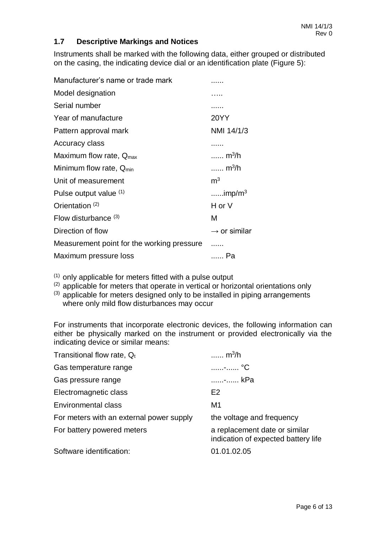# **1.7 Descriptive Markings and Notices**

Instruments shall be marked with the following data, either grouped or distributed on the casing, the indicating device dial or an identification plate (Figure 5):

| Manufacturer's name or trade mark          |                          |
|--------------------------------------------|--------------------------|
| Model designation                          |                          |
| Serial number                              |                          |
| Year of manufacture                        | <b>20YY</b>              |
| Pattern approval mark                      | NMI 14/1/3               |
| Accuracy class                             |                          |
| Maximum flow rate, $Q_{\text{max}}$        | $m^3/h$                  |
| Minimum flow rate, Q <sub>min</sub>        | $m^3/h$                  |
| Unit of measurement                        | m <sup>3</sup>           |
| Pulse output value (1)                     | $imp/m3$                 |
| Orientation <sup>(2)</sup>                 | H or V                   |
| Flow disturbance $(3)$                     | м                        |
| Direction of flow                          | $\rightarrow$ or similar |
| Measurement point for the working pressure |                          |
| Maximum pressure loss                      | Pa                       |
|                                            |                          |

 $(1)$  only applicable for meters fitted with a pulse output

 $(2)$  applicable for meters that operate in vertical or horizontal orientations only

(3) applicable for meters designed only to be installed in piping arrangements where only mild flow disturbances may occur

For instruments that incorporate electronic devices, the following information can either be physically marked on the instrument or provided electronically via the indicating device or similar means:

| Transitional flow rate, $Q_t$            | m <sup>3</sup> /h                                                    |
|------------------------------------------|----------------------------------------------------------------------|
| Gas temperature range                    | ……--…… °C                                                            |
| Gas pressure range                       | - kPa                                                                |
| Electromagnetic class                    | E <sub>2</sub>                                                       |
| Environmental class                      | M1                                                                   |
| For meters with an external power supply | the voltage and frequency                                            |
| For battery powered meters               | a replacement date or similar<br>indication of expected battery life |
| Software identification:                 | 01.01.02.05                                                          |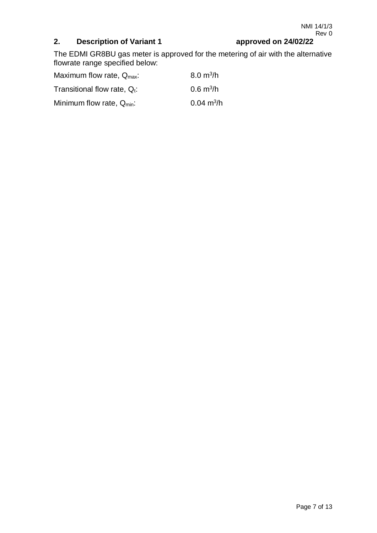# **2. Description of Variant 1 approved on 24/02/22**

The EDMI GR8BU gas meter is approved for the metering of air with the alternative flowrate range specified below:

| Maximum flow rate, $Q_{\text{max}}$ : | $8.0 \text{ m}^3/h$  |
|---------------------------------------|----------------------|
| Transitional flow rate, $Q_t$ :       | $0.6 \text{ m}^3/h$  |
| Minimum flow rate, Q <sub>min</sub> : | $0.04 \text{ m}^3/h$ |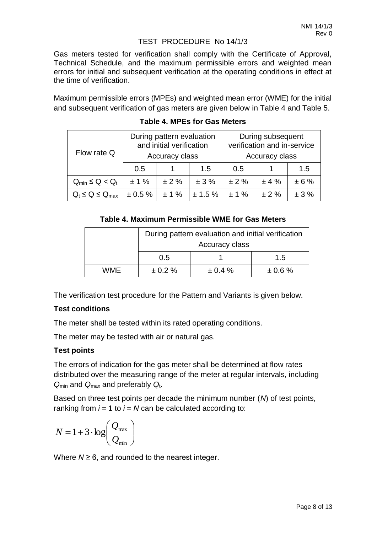# TEST PROCEDURE No 14/1/3

Gas meters tested for verification shall comply with the Certificate of Approval, Technical Schedule, and the maximum permissible errors and weighted mean errors for initial and subsequent verification at the operating conditions in effect at the time of verification.

Maximum permissible errors (MPEs) and weighted mean error (WME) for the initial and subsequent verification of gas meters are given below in Table 4 and Table 5.

|                               | During pattern evaluation<br>and initial verification |           |            | During subsequent<br>verification and in-service |      |      |
|-------------------------------|-------------------------------------------------------|-----------|------------|--------------------------------------------------|------|------|
| Flow rate Q                   | Accuracy class                                        |           |            | Accuracy class                                   |      |      |
|                               | 0.5                                                   |           | 1.5        | 0.5                                              |      | 1.5  |
| $Q_{\text{min}} \leq Q < Q_t$ | $± 1\%$                                               | ±2%       | ± 3%       | ± 2%                                             | ±4%  | ± 6% |
| $Q_t \le Q \le Q_{max}$       | $\pm 0.5 \%$                                          | $\pm$ 1 % | $± 1.5 \%$ | ±1%                                              | ± 2% | ± 3% |

**Table 4. MPEs for Gas Meters**

# **Table 4. Maximum Permissible WME for Gas Meters**

|     | During pattern evaluation and initial verification |              |              |  |
|-----|----------------------------------------------------|--------------|--------------|--|
|     | Accuracy class                                     |              |              |  |
|     | 0.5                                                |              | 1.5          |  |
| WME | $\pm 0.2 \%$                                       | $\pm 0.4 \%$ | $\pm 0.6 \%$ |  |

The verification test procedure for the Pattern and Variants is given below.

# **Test conditions**

The meter shall be tested within its rated operating conditions.

The meter may be tested with air or natural gas.

# **Test points**

The errors of indication for the gas meter shall be determined at flow rates distributed over the measuring range of the meter at regular intervals, including *Q*min and *Q*max and preferably *Q*t.

Based on three test points per decade the minimum number (*N*) of test points, ranking from  $i = 1$  to  $i = N$  can be calculated according to:

$$
N = 1 + 3 \cdot \log \left( \frac{Q_{\text{max}}}{Q_{\text{min}}} \right)
$$

Where  $N \geq 6$ , and rounded to the nearest integer.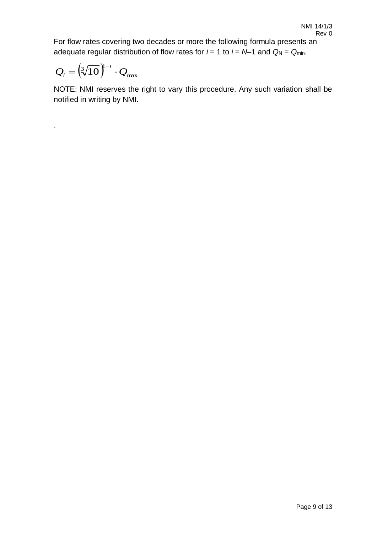For flow rates covering two decades or more the following formula presents an adequate regular distribution of flow rates for  $i = 1$  to  $i = N-1$  and  $Q_N = Q_{min}$ .

$$
Q_i = \left(\sqrt[3]{10}\right)^{i-i} \cdot Q_{\text{max}}
$$

.

NOTE: NMI reserves the right to vary this procedure. Any such variation shall be notified in writing by NMI.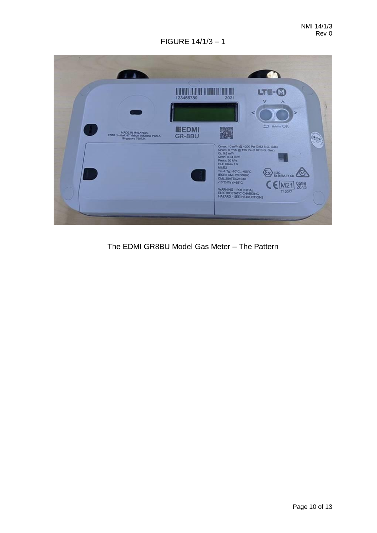

The EDMI GR8BU Model Gas Meter – The Pattern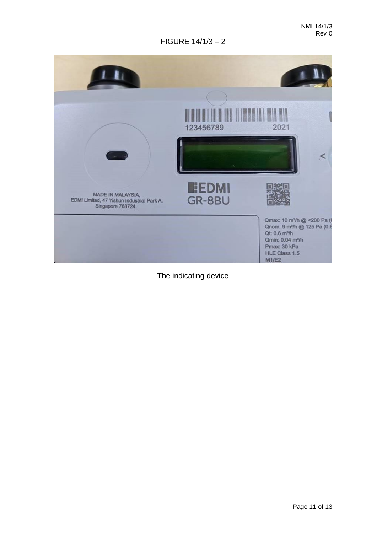

The indicating device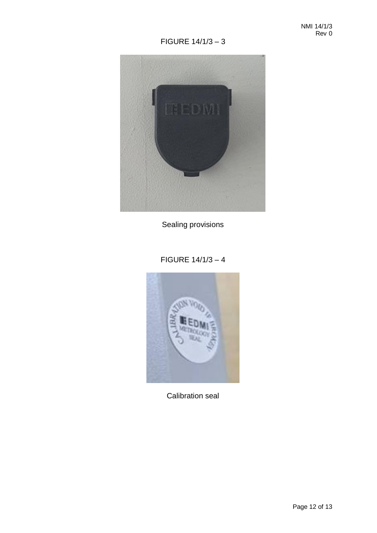

Sealing provisions

# FIGURE 14/1/3 – 4



Calibration seal